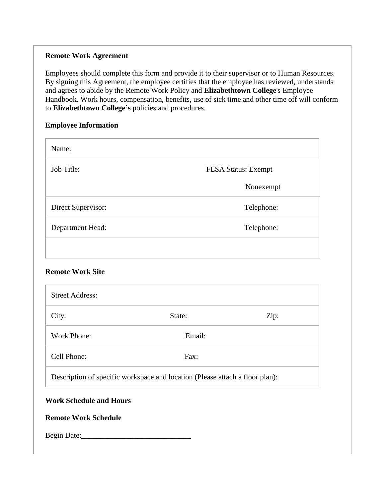#### **Remote Work Agreement**

Employees should complete this form and provide it to their supervisor or to Human Resources. By signing this Agreement, the employee certifies that the employee has reviewed, understands and agrees to abide by the Remote Work Policy and **Elizabethtown College**'s Employee Handbook. Work hours, compensation, benefits, use of sick time and other time off will conform to **Elizabethtown College's** policies and procedures.

### **Employee Information**

| Name:              |                            |
|--------------------|----------------------------|
| Job Title:         | <b>FLSA Status: Exempt</b> |
|                    | Nonexempt                  |
| Direct Supervisor: | Telephone:                 |
| Department Head:   | Telephone:                 |
|                    |                            |

## **Remote Work Site**

| <b>Street Address:</b>                                                       |        |      |
|------------------------------------------------------------------------------|--------|------|
| City:                                                                        | State: | Zip: |
| Work Phone:                                                                  | Email: |      |
| Cell Phone:                                                                  | Fax:   |      |
| Description of specific workspace and location (Please attach a floor plan): |        |      |

# **Work Schedule and Hours**

## **Remote Work Schedule**

Begin Date: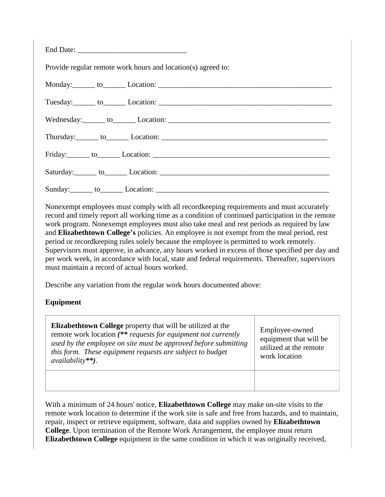| Provide regular remote work hours and location(s) agreed to:                                                                                                                                                                   |  |  |  |
|--------------------------------------------------------------------------------------------------------------------------------------------------------------------------------------------------------------------------------|--|--|--|
|                                                                                                                                                                                                                                |  |  |  |
|                                                                                                                                                                                                                                |  |  |  |
| Wednesday: to Location: Location:                                                                                                                                                                                              |  |  |  |
| Thursday: to Location: Location: Location: Location: Location: Location: Location: Location: Location: Location: Location: Location: Location: Location: Location: Location: Location: Location: Location: Location: Location: |  |  |  |
|                                                                                                                                                                                                                                |  |  |  |
|                                                                                                                                                                                                                                |  |  |  |
|                                                                                                                                                                                                                                |  |  |  |

Nonexempt employees must comply with all recordkeeping requirements and must accurately record and timely report all working time as a condition of continued participation in the remote work program. Nonexempt employees must also take meal and rest periods as required by law and **Elizabethtown College's** policies. An employee is not exempt from the meal period, rest period or recordkeeping rules solely because the employee is permitted to work remotely. Supervisors must approve, in advance, any hours worked in excess of those specified per day and per work week, in accordance with local, state and federal requirements. Thereafter, supervisors must maintain a record of actual hours worked.

Describe any variation from the regular work hours documented above:

# **Equipment**

**Elizabethtown College** property that will be utilized at the remote work location *(\*\* requests for equipment not currently used by the employee on site must be approved before submitting this form. These equipment requests are subject to budget availability\*\*)*. Employee-owned equipment that will be utilized at the remote work location

With a minimum of 24 hours' notice, **Elizabethtown College** may make on-site visits to the remote work location to determine if the work site is safe and free from hazards, and to maintain, repair, inspect or retrieve equipment, software, data and supplies owned by **Elizabethtown College**. Upon termination of the Remote Work Arrangement, the employee must return **Elizabethtown College** equipment in the same condition in which it was originally received,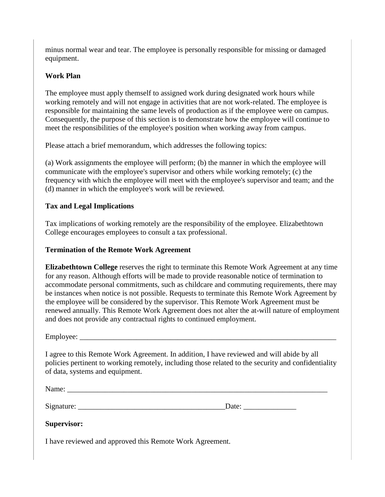minus normal wear and tear. The employee is personally responsible for missing or damaged equipment.

## **Work Plan**

The employee must apply themself to assigned work during designated work hours while working remotely and will not engage in activities that are not work-related. The employee is responsible for maintaining the same levels of production as if the employee were on campus. Consequently, the purpose of this section is to demonstrate how the employee will continue to meet the responsibilities of the employee's position when working away from campus.

Please attach a brief memorandum, which addresses the following topics:

(a) Work assignments the employee will perform; (b) the manner in which the employee will communicate with the employee's supervisor and others while working remotely; (c) the frequency with which the employee will meet with the employee's supervisor and team; and the (d) manner in which the employee's work will be reviewed.

## **Tax and Legal Implications**

Tax implications of working remotely are the responsibility of the employee. Elizabethtown College encourages employees to consult a tax professional.

#### **Termination of the Remote Work Agreement**

**Elizabethtown College** reserves the right to terminate this Remote Work Agreement at any time for any reason. Although efforts will be made to provide reasonable notice of termination to accommodate personal commitments, such as childcare and commuting requirements, there may be instances when notice is not possible. Requests to terminate this Remote Work Agreement by the employee will be considered by the supervisor. This Remote Work Agreement must be renewed annually. This Remote Work Agreement does not alter the at-will nature of employment and does not provide any contractual rights to continued employment.

Employee: \_\_\_\_\_\_\_\_\_\_\_\_\_\_\_\_\_\_\_\_\_\_\_\_\_\_\_\_\_\_\_\_\_\_\_\_\_\_\_\_\_\_\_\_\_\_\_\_\_\_\_\_\_\_\_\_\_\_\_\_\_\_\_\_\_\_\_\_

I agree to this Remote Work Agreement. In addition, I have reviewed and will abide by all policies pertinent to working remotely, including those related to the security and confidentiality of data, systems and equipment.

| Name:      |       |  |
|------------|-------|--|
|            |       |  |
| Signature: | Date: |  |

## **Supervisor:**

I have reviewed and approved this Remote Work Agreement.